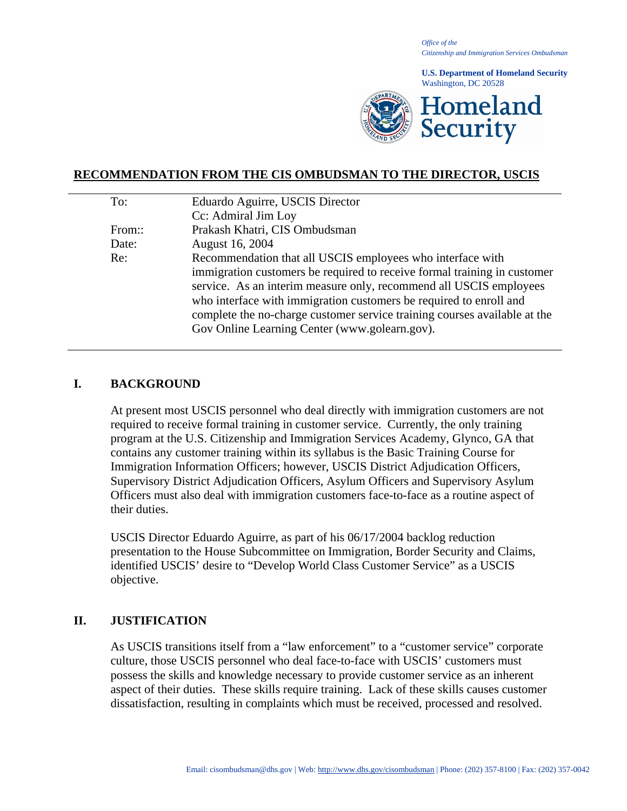*Office of the Citizenship and Immigration Services Ombudsman*

**U.S. Department of Homeland Security** Washington, DC 20528



## **RECOMMENDATION FROM THE CIS OMBUDSMAN TO THE DIRECTOR, USCIS**

| Eduardo Aguirre, USCIS Director                                           |
|---------------------------------------------------------------------------|
| Cc: Admiral Jim Loy                                                       |
| Prakash Khatri, CIS Ombudsman                                             |
| August 16, 2004                                                           |
| Recommendation that all USCIS employees who interface with                |
| immigration customers be required to receive formal training in customer  |
| service. As an interim measure only, recommend all USCIS employees        |
| who interface with immigration customers be required to enroll and        |
| complete the no-charge customer service training courses available at the |
| Gov Online Learning Center (www.golearn.gov).                             |
|                                                                           |

#### **I. BACKGROUND**

At present most USCIS personnel who deal directly with immigration customers are not required to receive formal training in customer service. Currently, the only training program at the U.S. Citizenship and Immigration Services Academy, Glynco, GA that contains any customer training within its syllabus is the Basic Training Course for Immigration Information Officers; however, USCIS District Adjudication Officers, Supervisory District Adjudication Officers, Asylum Officers and Supervisory Asylum Officers must also deal with immigration customers face-to-face as a routine aspect of their duties.

USCIS Director Eduardo Aguirre, as part of his 06/17/2004 backlog reduction presentation to the House Subcommittee on Immigration, Border Security and Claims, identified USCIS' desire to "Develop World Class Customer Service" as a USCIS objective.

### **II. JUSTIFICATION**

As USCIS transitions itself from a "law enforcement" to a "customer service" corporate culture, those USCIS personnel who deal face-to-face with USCIS' customers must possess the skills and knowledge necessary to provide customer service as an inherent aspect of their duties. These skills require training. Lack of these skills causes customer dissatisfaction, resulting in complaints which must be received, processed and resolved.